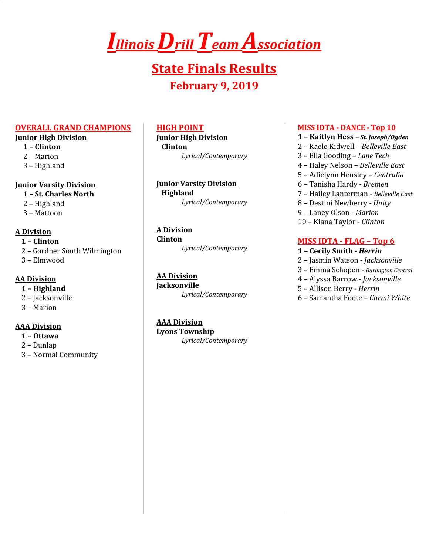# *IllinoisDrillTeam Association*

# **State Finals Results February 9, 2019**

#### **OVERALL GRAND CHAMPIONS**

#### **Junior High Division**

- **1 – Clinton**
- 2 Marion
- 3 Highland

#### **Junior Varsity Division**

- **1 – St. Charles North**
- 2 Highland
- 3 Mattoon

#### **A Division**

- **1 – Clinton**
- 2 Gardner South Wilmington
- 3 Elmwood

# **AA Division**

- **1 – Highland**
- 2 Jacksonville
- 3 Marion

# **AAA Division**

- **1 – Ottawa**
- 2 Dunlap
- 3 Normal Community

#### **HIGH POINT**

**Junior High Division Clinton**

*Lyrical/Contemporary*

**Junior Varsity Division Highland**

*Lyrical/Contemporary*

# **A Division**

**Clinton** *Lyrical/Contemporary*

# **AA Division**

**Jacksonville** *Lyrical/Contemporary*

# **AAA Division**

**Lyons Township** *Lyrical/Contemporary*

#### **MISS IDTA - DANCE - Top 10**

- **1 – Kaitlyn Hess –** *St. Joseph/Ogden*
- 2 Kaele Kidwell *Belleville East*
- 3 Ella Gooding *Lane Tech*
- 4 Haley Nelson *Belleville East*
- 5 Adielynn Hensley *Centralia*
- 6 Tanisha Hardy *Bremen*
- 7 Hailey Lanterman *Belleville East*
- 8 Destini Newberry *Unity*
- 9 Laney Olson *Marion*
- 10 Kiana Taylor *Clinton*

# **MISS IDTA - FLAG – Top 6**

- **1 – Cecily Smith -** *Herrin*
- 2 Jasmin Watson *Jacksonville*
- 3 Emma Schopen *Burlington Central*
- 4 Alyssa Barrow *Jacksonville*
- 5 Allison Berry *Herrin*
- 6 Samantha Foote *Carmi White*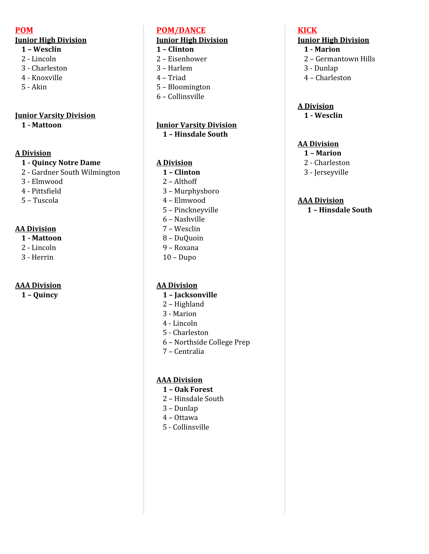#### **POM**

# **Junior High Division**

- **– Wesclin**
- Lincoln
- Charleston
- Knoxville
- Akin

# **Junior Varsity Division**

**- Mattoon**

# **A Division**

# **- Quincy Notre Dame**

- Gardner South Wilmington
- Elmwood
- Pittsfield
- Tuscola

# **AA Division**

- **- Mattoon**
- Lincoln
- Herrin

# **AAA Division**

**– Quincy**

# **POM/DANCE**

# **Junior High Division**

- **– Clinton**
- Eisenhower
- Harlem
- Triad
- Bloomington
- Collinsville

#### **Junior Varsity Division – Hinsdale South**

# **A Division**

- **– Clinton**
- Althoff
- Murphysboro
- Elmwood
- Pinckneyville
- Nashville
- Wesclin
- DuQuoin
- Roxana
- Dupo

# **AA Division**

- **– Jacksonville**
- Highland
- Marion
- Lincoln
- Charleston
- Northside College Prep
- Centralia

# **AAA Division**

- **– Oak Forest**
- Hinsdale South
- Dunlap
- Ottawa
- Collinsville

# **KICK**

# **Junior High Division**

- **- Marion**
- Germantown Hills
- Dunlap
- Charleston

# **A Division**

**- Wesclin**

# **AA Division**

- **– Marion**
- Charleston
- Jerseyville

# **AAA Division**

**– Hinsdale South**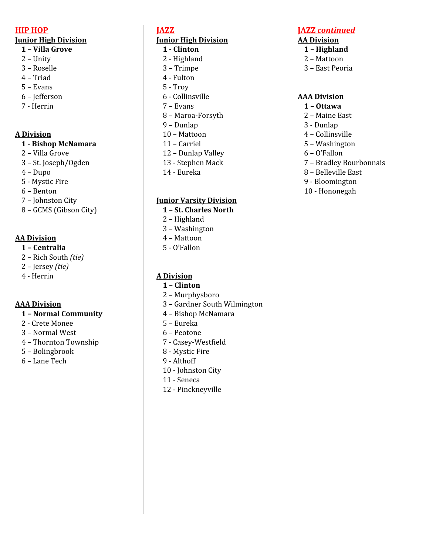#### **HIP HOP**

#### **Junior High Division**

#### **– Villa Grove**

- Unity
- Roselle
- Triad
- Evans
- Jefferson
- Herrin

#### **A Division**

#### **- Bishop McNamara**

- Villa Grove
- St. Joseph/Ogden
- Dupo
- Mystic Fire
- Benton
- Johnston City
- GCMS (Gibson City)

# **AA Division**

- **– Centralia**
- Rich South *(tie)*
- Jersey *(tie)*
- Herrin

# **AAA Division**

#### **– Normal Community**

- Crete Monee
- Normal West
- Thornton Township
- Bolingbrook

# – Lane Tech

# **JAZZ**

# **Junior High Division**

- **- Clinton**
- Highland
- Trimpe
- Fulton
- Troy
- Collinsville
- Evans
- Maroa-Forsyth
- Dunlap
- Mattoon
- Carriel
- Dunlap Valley
- Stephen Mack
- Eureka

#### **Junior Varsity Division**

- **– St. Charles North**
- Highland
- Washington
- Mattoon
- O'Fallon

#### **A Division**

- **– Clinton**
- Murphysboro
- Gardner South Wilmington
- Bishop McNamara
- Eureka
- Peotone
- Casey-Westfield
- Mystic Fire
- Althoff
- Johnston City
- Seneca
- Pinckneyville

# **JAZZ** *continued*

#### **AA Division**

- **– Highland**
- Mattoon
- East Peoria

#### **AAA Division**

- **– Ottawa**
- Maine East
- Dunlap
- Collinsville
- Washington
- O'Fallon
- Bradley Bourbonnais
- Belleville East
- Bloomington
- Hononegah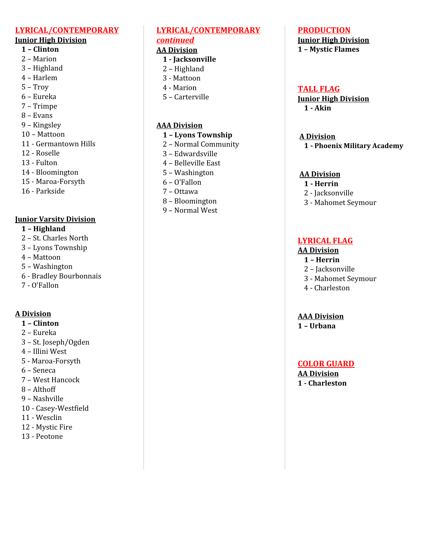#### **LYRICAL/CONTEMPORARY**

#### **Junior High Division**

- **– Clinton**
- Marion
- Highland
- Harlem
- Troy
- Eureka
- Trimpe
- Evans
- Kingsley
- Mattoon
- Germantown Hills
- Roselle
- Fulton
- Bloomington
- Maroa-Forsyth
- Parkside

#### **Junior Varsity Division**

- **– Highland**
- St. Charles North
- Lyons Township
- Mattoon
- Washington
- Bradley Bourbonnais
- O'Fallon

#### **A Division**

- **– Clinton**
- Eureka
- St. Joseph/Ogden
- Illini West
- Maroa-Forsyth
- Seneca
- West Hancock
- Althoff
- Nashville
- Casey-Westfield
- Wesclin
- Mystic Fire
- Peotone

# **LYRICAL/CONTEMPORARY** *continued*

#### **AA Division**

- **- Jacksonville**
- Highland
- Mattoon
- Marion
- Carterville

#### **AAA Division**

- **– Lyons Township**
- Normal Community
- Edwardsville
- Belleville East
- Washington
- O'Fallon
- Ottawa
- Bloomington
- Normal West

# **PRODUCTION**

#### **Junior High Division – Mystic Flames**

#### **TALL FLAG**

**Junior High Division - Akin**

#### **A Division**

**- Phoenix Military Academy**

#### **AA Division**

#### **- Herrin**

- Jacksonville
- Mahomet Seymour

# **LYRICAL FLAG**

#### **AA Division**

- **– Herrin**
- Jacksonville
- Mahomet Seymour
- Charleston

#### **AAA Division**

**– Urbana**

#### **COLOR GUARD**

**AA Division - Charleston**